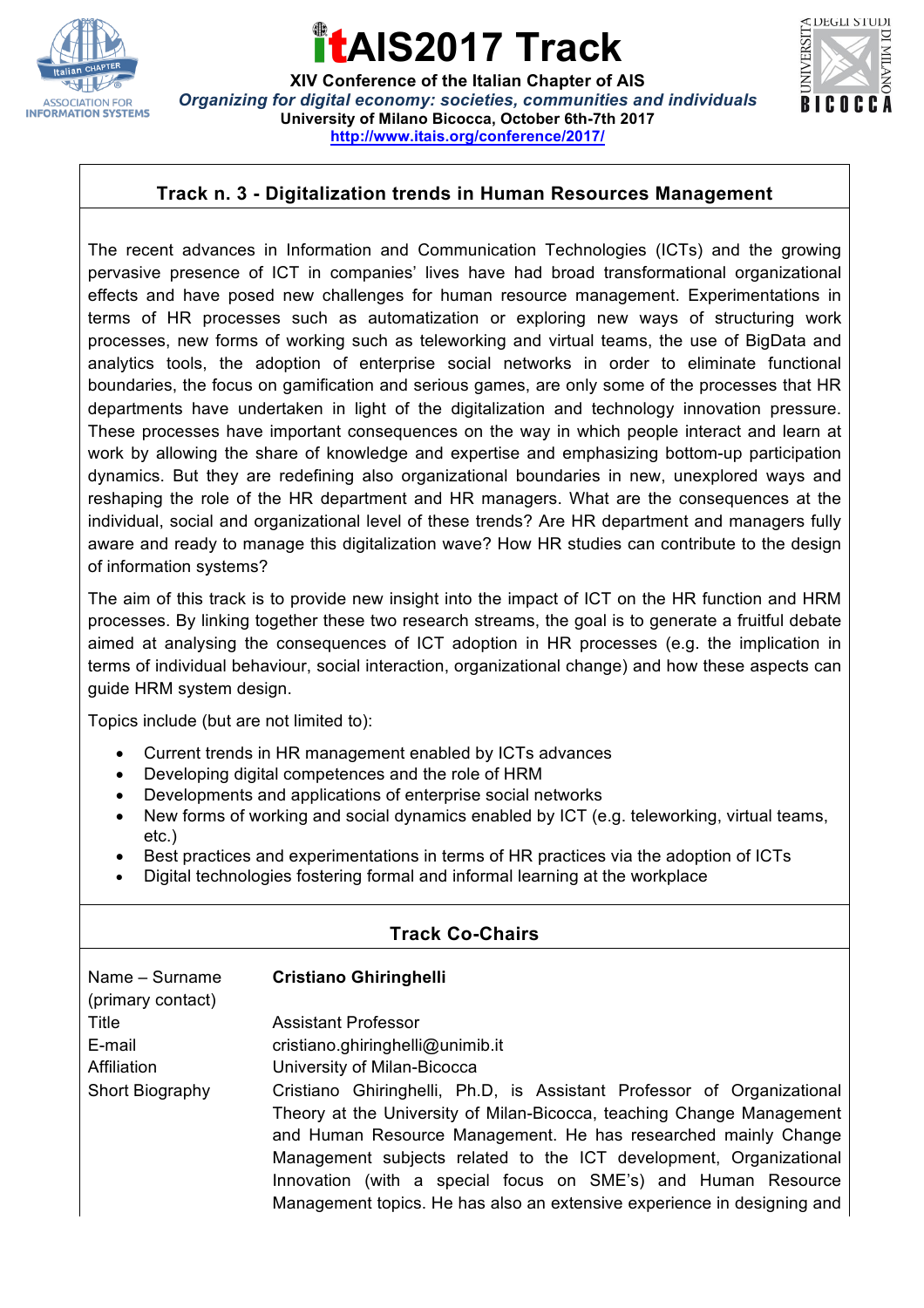

### **AIS2017 Track**

**XIV Conference of the Italian Chapter of AIS** *Organizing for digital economy: societies, communities and individuals* **University of Milano Bicocca, October 6th-7th 2017 http://www.itais.org/conference/2017/**



### **Track n. 3 - Digitalization trends in Human Resources Management**

The recent advances in Information and Communication Technologies (ICTs) and the growing pervasive presence of ICT in companies' lives have had broad transformational organizational effects and have posed new challenges for human resource management. Experimentations in terms of HR processes such as automatization or exploring new ways of structuring work processes, new forms of working such as teleworking and virtual teams, the use of BigData and analytics tools, the adoption of enterprise social networks in order to eliminate functional boundaries, the focus on gamification and serious games, are only some of the processes that HR departments have undertaken in light of the digitalization and technology innovation pressure. These processes have important consequences on the way in which people interact and learn at work by allowing the share of knowledge and expertise and emphasizing bottom-up participation dynamics. But they are redefining also organizational boundaries in new, unexplored ways and reshaping the role of the HR department and HR managers. What are the consequences at the individual, social and organizational level of these trends? Are HR department and managers fully aware and ready to manage this digitalization wave? How HR studies can contribute to the design of information systems?

The aim of this track is to provide new insight into the impact of ICT on the HR function and HRM processes. By linking together these two research streams, the goal is to generate a fruitful debate aimed at analysing the consequences of ICT adoption in HR processes (e.g. the implication in terms of individual behaviour, social interaction, organizational change) and how these aspects can guide HRM system design.

Topics include (but are not limited to):

- Current trends in HR management enabled by ICTs advances
- Developing digital competences and the role of HRM
- Developments and applications of enterprise social networks
- New forms of working and social dynamics enabled by ICT (e.g. teleworking, virtual teams, etc.)
- Best practices and experimentations in terms of HR practices via the adoption of ICTs
- Digital technologies fostering formal and informal learning at the workplace

|                                     | <b>Track Co-Chairs</b>                                                                                                                                                                                                                                                                                                                                                                                                              |
|-------------------------------------|-------------------------------------------------------------------------------------------------------------------------------------------------------------------------------------------------------------------------------------------------------------------------------------------------------------------------------------------------------------------------------------------------------------------------------------|
| Name - Surname<br>(primary contact) | <b>Cristiano Ghiringhelli</b>                                                                                                                                                                                                                                                                                                                                                                                                       |
| Title                               | <b>Assistant Professor</b>                                                                                                                                                                                                                                                                                                                                                                                                          |
| E-mail                              | cristiano.ghiringhelli@unimib.it                                                                                                                                                                                                                                                                                                                                                                                                    |
| Affiliation                         | University of Milan-Bicocca                                                                                                                                                                                                                                                                                                                                                                                                         |
| Short Biography                     | Cristiano Ghiringhelli, Ph.D, is Assistant Professor of Organizational<br>Theory at the University of Milan-Bicocca, teaching Change Management<br>and Human Resource Management. He has researched mainly Change<br>Management subjects related to the ICT development, Organizational<br>Innovation (with a special focus on SME's) and Human Resource<br>Management topics. He has also an extensive experience in designing and |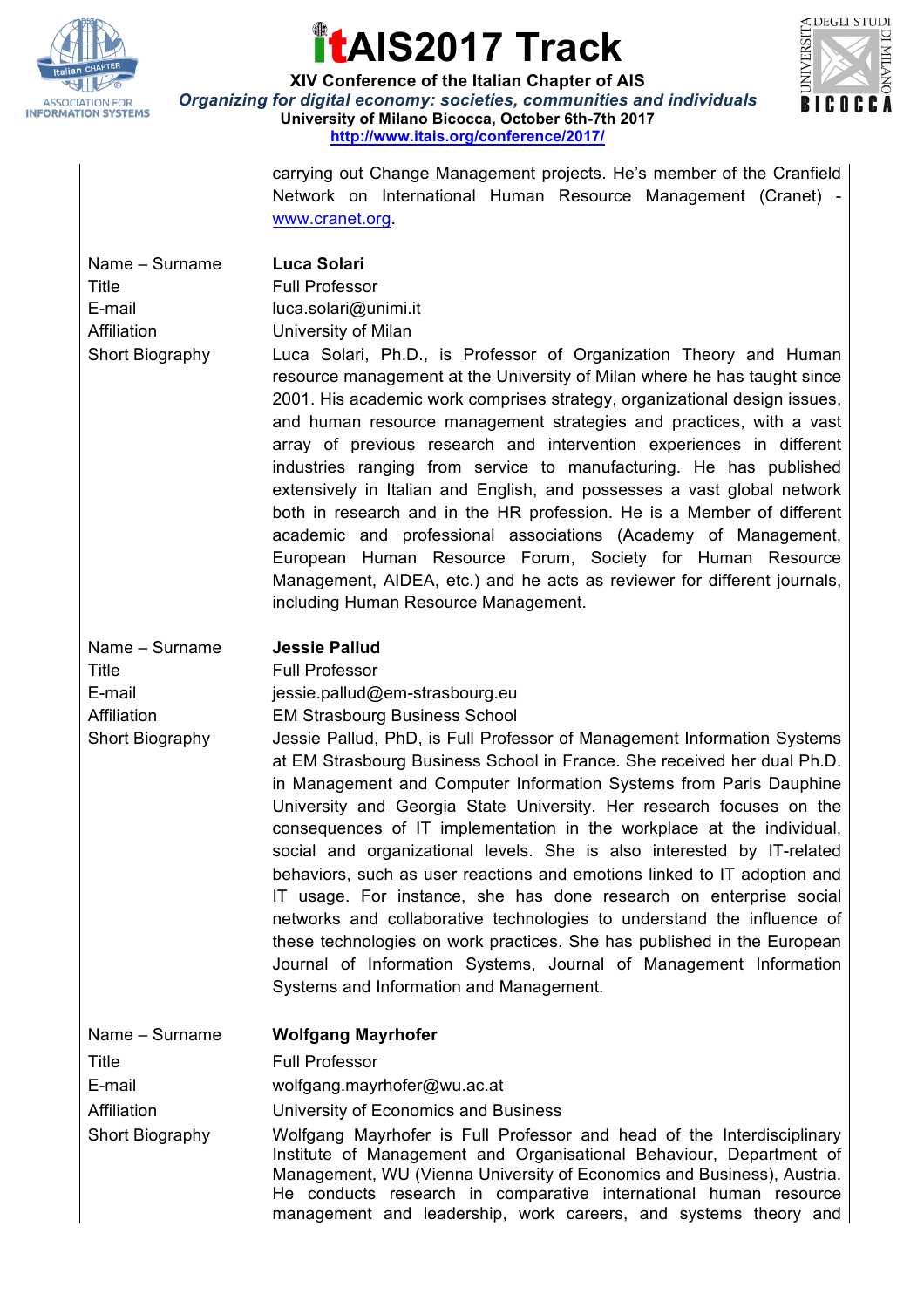

## **AIS2017 Track**



**XIV Conference of the Italian Chapter of AIS** *Organizing for digital economy: societies, communities and individuals* **University of Milano Bicocca, October 6th-7th 2017 http://www.itais.org/conference/2017/**

> carrying out Change Management projects. He's member of the Cranfield Network on International Human Resource Management (Cranet) www.cranet.org.

| Name – Surname  |
|-----------------|
| Title           |
| E-mail          |
| Affiliation     |
| Short Biography |

Luca Solari Full Professor luca.solari@unimi.it

University of Milan

**Jessie Pallud** Full Professor

jessie.pallud@em-strasbourg.eu

Luca Solari, Ph.D., is Professor of Organization Theory and Human resource management at the University of Milan where he has taught since 2001. His academic work comprises strategy, organizational design issues, and human resource management strategies and practices, with a vast array of previous research and intervention experiences in different industries ranging from service to manufacturing. He has published extensively in Italian and English, and possesses a vast global network both in research and in the HR profession. He is a Member of different academic and professional associations (Academy of Management, European Human Resource Forum, Society for Human Resource Management, AIDEA, etc.) and he acts as reviewer for different journals, including Human Resource Management.

| Name - Surname         |
|------------------------|
| Title                  |
| E-mail                 |
| Affiliation            |
| <b>Short Biography</b> |

**EM Strasbourg Business School** Jessie Pallud, PhD, is Full Professor of Management Information Systems at EM Strasbourg Business School in France. She received her dual Ph.D. in Management and Computer Information Systems from Paris Dauphine University and Georgia State University. Her research focuses on the consequences of IT implementation in the workplace at the individual, social and organizational levels. She is also interested by IT-related behaviors, such as user reactions and emotions linked to IT adoption and IT usage. For instance, she has done research on enterprise social networks and collaborative technologies to understand the influence of these technologies on work practices. She has published in the European Journal of Information Systems, Journal of Management Information Systems and Information and Management.

Name – Surname **Wolfgang Mayrhofer**

Title **Full Professor** 

E-mail wolfgang.mayrhofer@wu.ac.at

Affiliation University of Economics and Business

Short Biography Wolfgang Mayrhofer is Full Professor and head of the Interdisciplinary Institute of Management and Organisational Behaviour, Department of Management, WU (Vienna University of Economics and Business), Austria. He conducts research in comparative international human resource management and leadership, work careers, and systems theory and